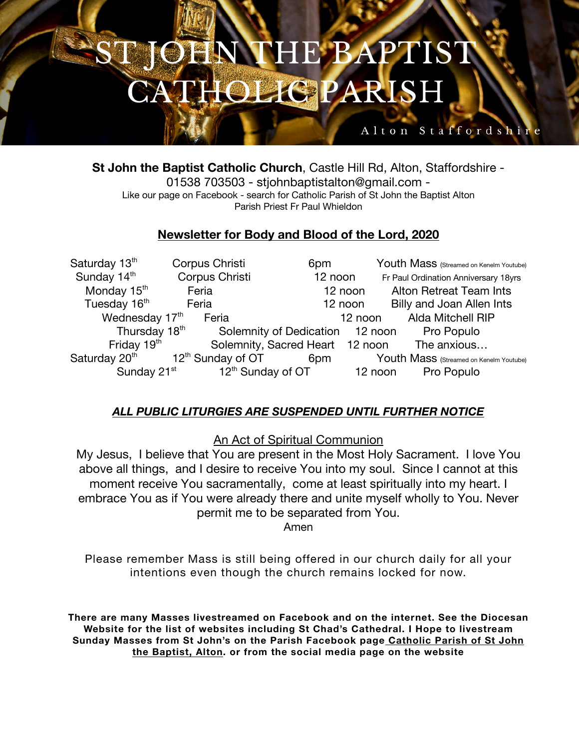### THE BAPTIST **BEAN HOLIGPARISH**

### Alton Staffordshi

**St John the Baptist Catholic Church**, Castle Hill Rd, Alton, Staffordshire - 01538 703503 - stjohnbaptistalton@gmail.com - Like our page on Facebook - search for Catholic Parish of St John the Baptist Alton Parish Priest Fr Paul Whieldon

### **Newsletter for Body and Blood of the Lord, 2020**

Saturday 13<sup>th</sup> Corpus Christi 6pm Youth Mass (Streamed on Kenelm Youtube) Sunday 14<sup>th</sup> Corpus Christi 12 noon Fr Paul Ordination Anniversary 18yrs Monday 15<sup>th</sup> Feria 12 noon Alton Retreat Team Ints Tuesday 16th Feria 12 noon Billy and Joan Allen Ints Wednesday 17<sup>th</sup> Feria 12 noon Alda Mitchell RIP Thursday 18<sup>th</sup> Solemnity of Dedication 12 noon Pro Populo Friday 19<sup>th</sup> Solemnity, Sacred Heart 12 noon The anxious... Saturday 20<sup>th</sup> 12<sup>th</sup> Sunday of OT 6pm Youth Mass (Streamed on Kenelm Youtube) Sunday  $21^{st}$  12<sup>th</sup> Sunday of OT 12 noon Pro Populo

### *ALL PUBLIC LITURGIES ARE SUSPENDED UNTIL FURTHER NOTICE*

An Act of Spiritual Communion

My Jesus, I believe that You are present in the Most Holy Sacrament. I love You above all things, and I desire to receive You into my soul. Since I cannot at this moment receive You sacramentally, come at least spiritually into my heart. I embrace You as if You were already there and unite myself wholly to You. Never permit me to be separated from You.

Amen

Please remember Mass is still being offered in our church daily for all your intentions even though the church remains locked for now.

**There are many Masses livestreamed on Facebook and on the internet. See the Diocesan Website for the list of websites including St Chad's Cathedral. I Hope to livestream Sunday Masses from St John's on the Parish Facebook page Catholic Parish of St John the Baptist, Alton. or from the social media page on the website**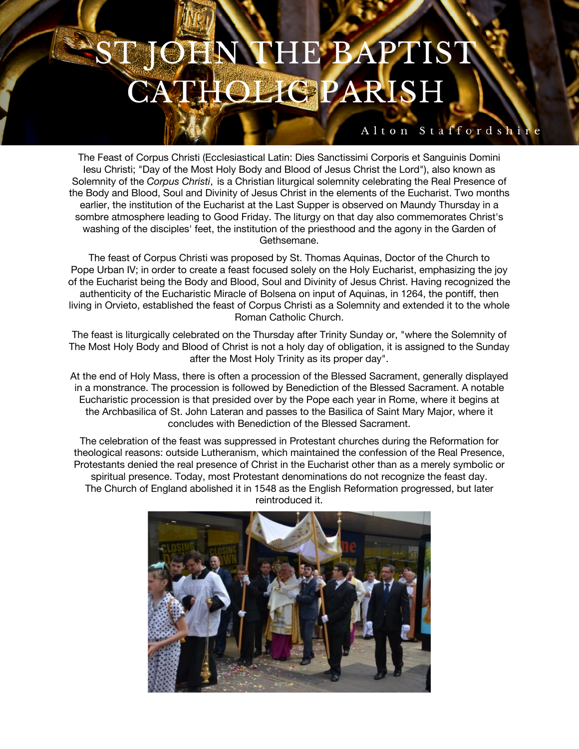## JEN THE BAPTIST **HOLIGPARISH**

#### Alton Staffordshir

The Feast of Corpus Christi (Ecclesiastical Latin: Dies Sanctissimi Corporis et Sanguinis Domini Iesu Christi; "Day of the Most Holy Body and Blood of Jesus Christ the Lord"), also known as Solemnity of the *Corpus Christi*, is a Christian liturgical solemnity celebrating the Real Presence of the Body and Blood, Soul and Divinity of Jesus Christ in the elements of the Eucharist. Two months earlier, the institution of the Eucharist at the Last Supper is observed on Maundy Thursday in a sombre atmosphere leading to Good Friday. The liturgy on that day also commemorates Christ's washing of the disciples' feet, the institution of the priesthood and the agony in the Garden of Gethsemane.

The feast of Corpus Christi was proposed by St. Thomas Aquinas, Doctor of the Church to Pope Urban IV; in order to create a feast focused solely on the Holy Eucharist, emphasizing the joy of the Eucharist being the Body and Blood, Soul and Divinity of Jesus Christ. Having recognized the authenticity of the Eucharistic Miracle of Bolsena on input of Aquinas, in 1264, the pontiff, then living in Orvieto, established the feast of Corpus Christi as a Solemnity and extended it to the whole Roman Catholic Church.

The feast is liturgically celebrated on the Thursday after Trinity Sunday or, "where the Solemnity of The Most Holy Body and Blood of Christ is not a holy day of obligation, it is assigned to the Sunday after the Most Holy Trinity as its proper day".

At the end of Holy Mass, there is often a procession of the Blessed Sacrament, generally displayed in a monstrance. The procession is followed by Benediction of the Blessed Sacrament. A notable Eucharistic procession is that presided over by the Pope each year in Rome, where it begins at the Archbasilica of St. John Lateran and passes to the Basilica of Saint Mary Major, where it concludes with Benediction of the Blessed Sacrament.

The celebration of the feast was suppressed in Protestant churches during the Reformation for theological reasons: outside Lutheranism, which maintained the confession of the Real Presence, Protestants denied the real presence of Christ in the Eucharist other than as a merely symbolic or spiritual presence. Today, most Protestant denominations do not recognize the feast day. The Church of England abolished it in 1548 as the English Reformation progressed, but later reintroduced it.